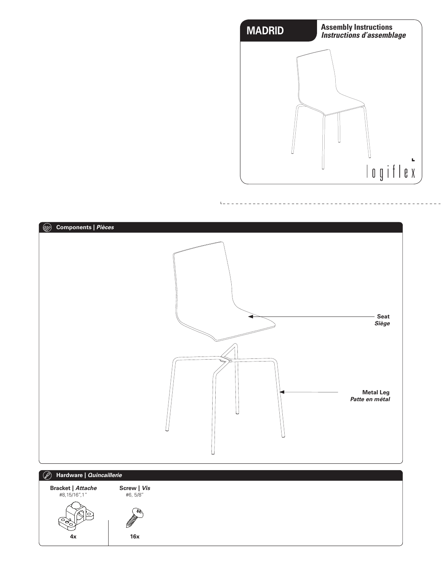



 $L =$ 

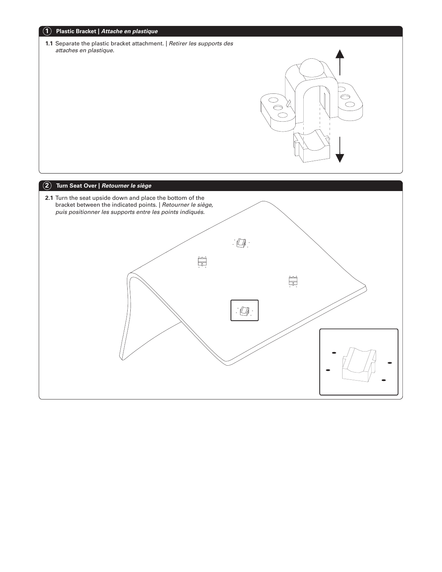